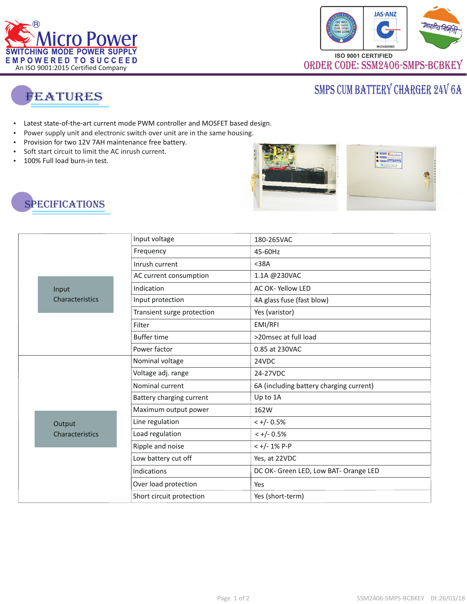



# SMPS CUM BATTERY CHARGER 24V 6A



- Latest state-of-the-art current mode PWM controller and MOSFET based design.
- Latest st<br>- Power s<br>- Provisio<br>- Soft star<br>- 100% Fu Power supply unit and electronic switch over unit are in the same housing.
- Provision for two 12V 7AH maintenance free battery.
- . Soft start circuit to limit the AC inrush current
- 100% Full load burn-in test.







|                 | Input voltage              | 180-265VAC                              |
|-----------------|----------------------------|-----------------------------------------|
|                 | Frequency                  | 45-60Hz                                 |
|                 | Inrush current             | $38A$                                   |
|                 | AC current consumption     | 1.1A @230VAC                            |
| Input           | Indication                 | AC OK-Yellow LED                        |
| Characteristics | Input protection           | 4A glass fuse (fast blow)               |
|                 | Transient surge protection | Yes (varistor)                          |
|                 | Filter                     | EMI/RFI                                 |
|                 | <b>Buffer time</b>         | >20msec at full load                    |
|                 | Power factor               | 0.85 at 230VAC                          |
|                 | Nominal voltage            | 24VDC                                   |
|                 | Voltage adj. range         | 24-27VDC                                |
|                 | Nominal current            | 6A (including battery charging current) |
|                 | Battery charging current   | Up to 1A                                |
|                 | Maximum output power       | 162W                                    |
| Output          | Line regulation            | $< +/- 0.5\%$                           |
| Characteristics | Load regulation            | $< +/- 0.5%$                            |
|                 | Ripple and noise           | $< +/- 1\% P - P$                       |
|                 | Low battery cut off        | Yes, at 22VDC                           |
|                 | Indications                | DC OK- Green LED, Low BAT- Orange LED   |
|                 | Over load protection       | Yes                                     |
|                 | Short circuit protection   | Yes (short-term)                        |